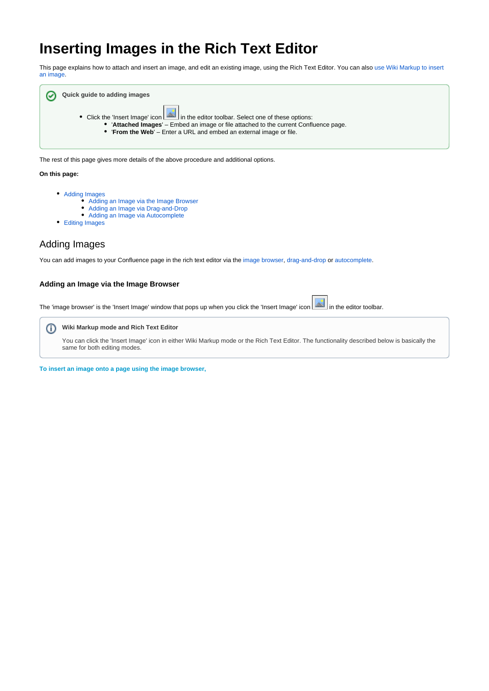# **Inserting Images in the Rich Text Editor**

This page explains how to attach and insert an image, and edit an existing image, using the Rich Text Editor. You can also [use Wiki Markup to insert](https://wikis.nyu.edu/display/DOC/Displaying+an+Image)  [an image.](https://wikis.nyu.edu/display/DOC/Displaying+an+Image)



The rest of this page gives more details of the above procedure and additional options.

#### **On this page:**

- [Adding Images](#page-0-0)
	- [Adding an Image via the Image Browser](#page-0-1)
	- [Adding an Image via Drag-and-Drop](#page-1-0)
- [Adding an Image via Autocomplete](#page-3-0) • Adding an Image via Autocomplete<br>• [Editing Images](#page-3-1)
- 

# <span id="page-0-0"></span>Adding Images

You can add images to your Confluence page in the rich text editor via the [image browser](#page-0-2), [drag-and-drop](#page-1-1) or [autocomplete.](#page-3-2)

### <span id="page-0-2"></span><span id="page-0-1"></span>**Adding an Image via the Image Browser**

Ine 'image browser' is the 'Insert Image' window that pops up when you click the 'Insert Image' icon in the editor toolbar.

# **Wiki Markup mode and Rich Text Editor**

You can click the 'Insert Image' icon in either Wiki Markup mode or the Rich Text Editor. The functionality described below is basically the same for both editing modes.

**To insert an image onto a page using the image browser,**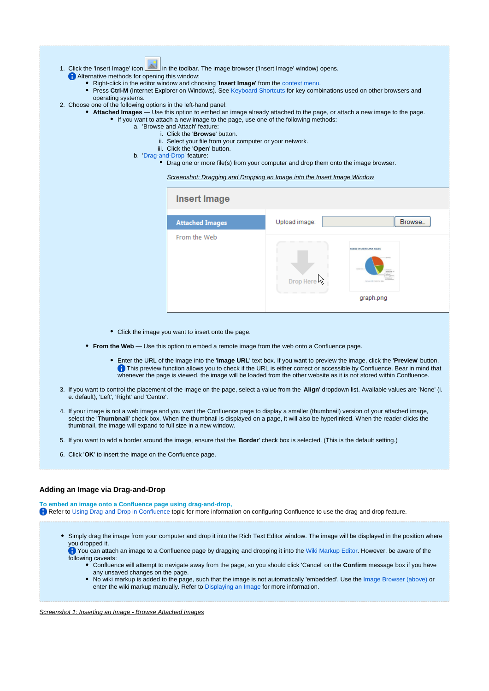- 1. Click the 'Insert Image' icon In the toolbar. The image browser ('Insert Image' window) opens.
	- **Alternative methods for opening this window:** 
		- Right-click in the editor window and choosing '**Insert Image**' from the [context menu.](https://wikis.nyu.edu/display/DOC/Using+the+Context+Menu+in+the+Rich+Text+Editor)
			- **Press Ctrl-M** (Internet Explorer on Windows). See Keyboard Shortcuts for key combinations used on other browsers and operating systems.
- 2. Choose one of the following options in the left-hand panel:
	- **Attached Images** Use this option to embed an image already attached to the page, or attach a new image to the page.
		- If you want to attach a new image to the page, use one of the following methods:
			- a. 'Browse and Attach' feature:
				- i. Click the '**Browse**' button.
				- ii. Select your file from your computer or your network.
				- iii. Click the '**Open**' button.
			- b. '[Drag-and-Drop](https://wikis.nyu.edu/display/DOC/Using+Drag-and-Drop+in+Confluence)' feature:
				- Drag one or more file(s) from your computer and drop them onto the image browser.

Screenshot: Dragging and Dropping an Image into the Insert Image Window

| <b>Insert Image</b>    |                                                                                                                                                                                   |
|------------------------|-----------------------------------------------------------------------------------------------------------------------------------------------------------------------------------|
| <b>Attached Images</b> | Browse<br>Upload image:                                                                                                                                                           |
| From the Web           | Status of Crewd JPUL Issues<br><b>Contractor</b><br><b><i><u>Institute form</u></i></b><br><b>PERSONAL</b><br>Drop Here $\sqrt{s}$<br>TRANSPORT FOR ASSAULT THE REAL<br>graph.png |

- Click the image you want to insert onto the page.
- **From the Web** Use this option to embed a remote image from the web onto a Confluence page.
	- Enter the URL of the image into the '**Image URL**' text box. If you want to preview the image, click the '**Preview**' button. This preview function allows you to check if the URL is either correct or accessible by Confluence. Bear in mind that whenever the page is viewed, the image will be loaded from the other website as it is not stored within Confluence.
- 3. If you want to control the placement of the image on the page, select a value from the '**Align**' dropdown list. Available values are 'None' (i. e. default), 'Left', 'Right' and 'Centre'.
- 4. If your image is not a web image and you want the Confluence page to display a smaller (thumbnail) version of your attached image, select the '**Thumbnail**' check box. When the thumbnail is displayed on a page, it will also be hyperlinked. When the reader clicks the thumbnail, the image will expand to full size in a new window.
- 5. If you want to add a border around the image, ensure that the '**Border**' check box is selected. (This is the default setting.)
- 6. Click '**OK**' to insert the image on the Confluence page.

#### <span id="page-1-1"></span><span id="page-1-0"></span>**Adding an Image via Drag-and-Drop**

**To embed an image onto a Confluence page using drag-and-drop,**

Refer to [Using Drag-and-Drop in Confluence](https://wikis.nyu.edu/display/DOC/Using+Drag-and-Drop+in+Confluence) topic for more information on configuring Confluence to use the drag-and-drop feature.

Simply drag the image from your computer and drop it into the Rich Text Editor window. The image will be displayed in the position where you dropped it.

You can attach an image to a Confluence page by dragging and dropping it into the Wiki Markup Editor. However, be aware of the following caveats:

- Confluence will attempt to navigate away from the page, so you should click 'Cancel' on the **Confirm** message box if you have any unsaved changes on the page.
- No wiki markup is added to the page, such that the image is not automatically 'embedded'. Use the [Image Browser \(above\)](#page-0-2) or enter the wiki markup manually. Refer to [Displaying an Image](https://wikis.nyu.edu/display/DOC/Displaying+an+Image) for more information.

Screenshot 1: Inserting an Image - Browse Attached Images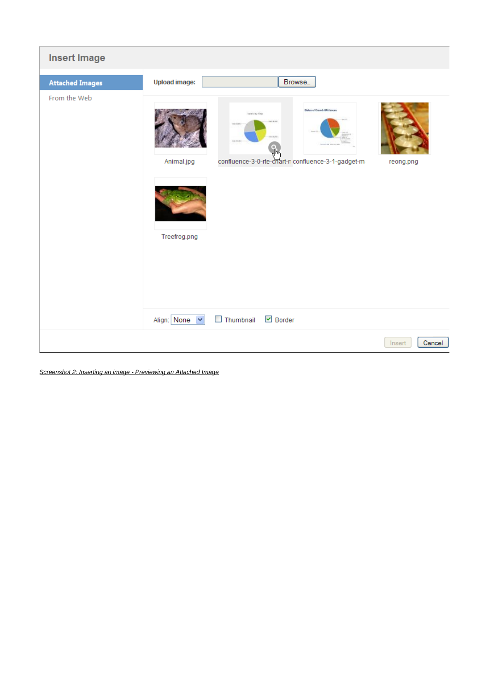| <b>Insert Image</b>    |                                                                                                                                                                                                  |        |
|------------------------|--------------------------------------------------------------------------------------------------------------------------------------------------------------------------------------------------|--------|
| <b>Attached Images</b> | Browse<br><b>Upload image:</b>                                                                                                                                                                   |        |
| From the Web           | Status of Crewd JPUL Issues<br>Saleschy Rey<br><b>HOTA IN</b><br>1981年7月<br>14419.000<br>۰<br>m<br>Animal.jpg<br>confluence-3-0-rte-chart-n confluence-3-1-gadget-m<br>reong.png<br>Treefrog.png |        |
|                        | $\triangleright$ Border<br>Align: None<br>$\Box$ Thumbnail                                                                                                                                       |        |
|                        | Insert                                                                                                                                                                                           | Cancel |
|                        |                                                                                                                                                                                                  |        |

Screenshot 2: Inserting an image - Previewing an Attached Image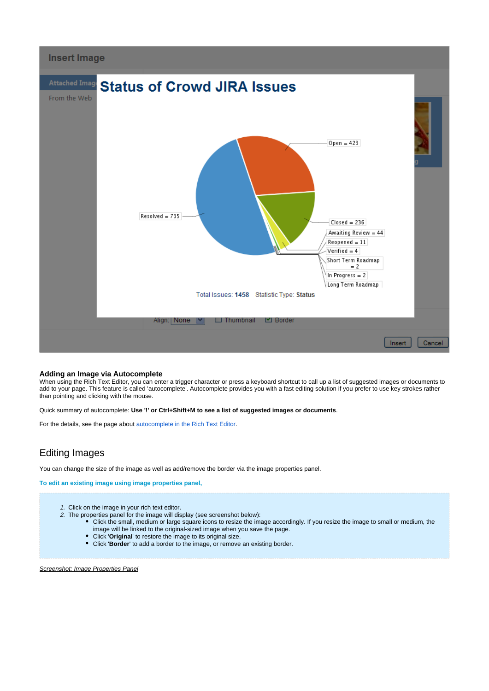

#### <span id="page-3-2"></span><span id="page-3-0"></span>**Adding an Image via Autocomplete**

When using the Rich Text Editor, you can enter a trigger character or press a keyboard shortcut to call up a list of suggested images or documents to add to your page. This feature is called 'autocomplete'. Autocomplete provides you with a fast editing solution if you prefer to use key strokes rather than pointing and clicking with the mouse.

Quick summary of autocomplete: **Use '!' or Ctrl+Shift+M to see a list of suggested images or documents**.

For the details, see the page about [autocomplete in the Rich Text Editor.](https://wikis.nyu.edu/display/DOC/Using+Autocomplete+in+the+Rich+Text+Editor)

### <span id="page-3-1"></span>Editing Images

You can change the size of the image as well as add/remove the border via the image properties panel.

**To edit an existing image using image properties panel,**

- 1. Click on the image in your rich text editor.
- 2. The properties panel for the image will display (see screenshot below):
	- Click the small, medium or large square icons to resize the image accordingly. If you resize the image to small or medium, the image will be linked to the original-sized image when you save the page.
	- Click '**Original**' to restore the image to its original size.
	- Click '**Border**' to add a border to the image, or remove an existing border.

Screenshot: Image Properties Panel